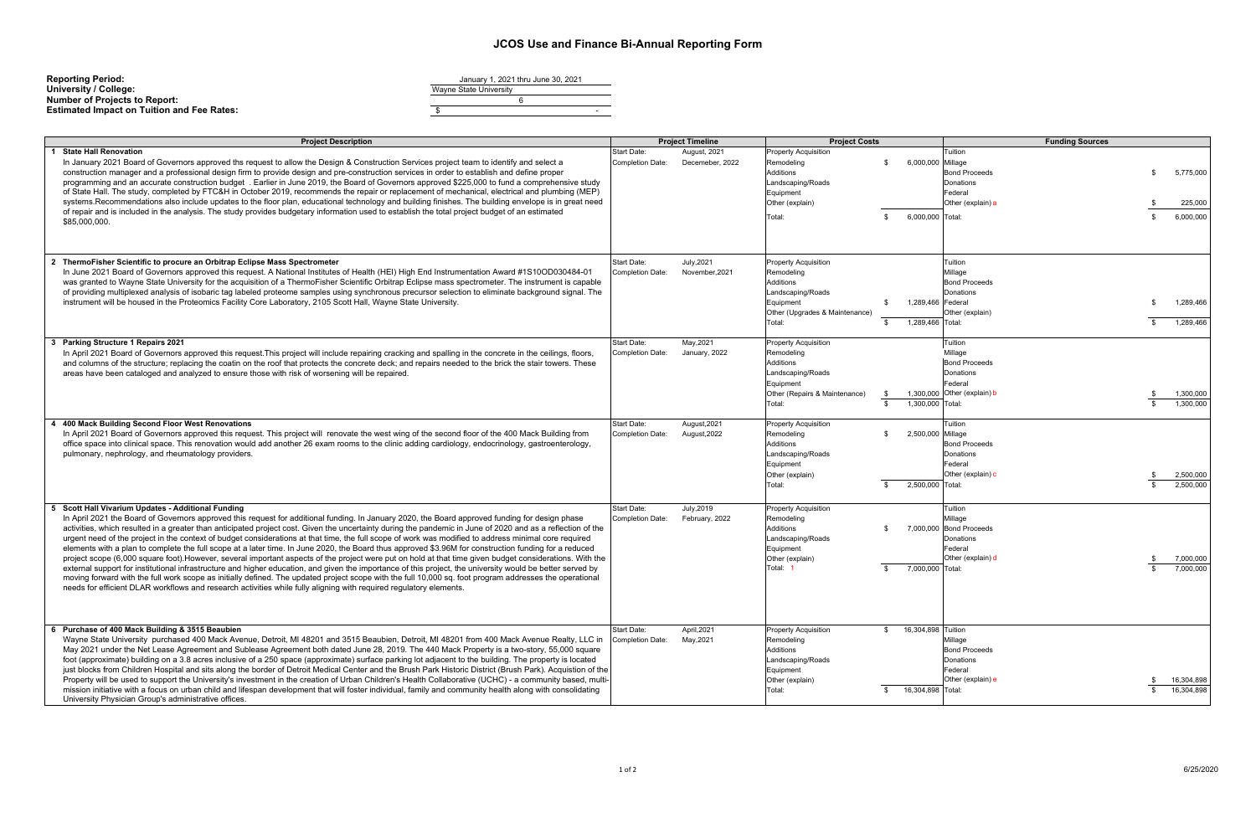## **JCOS Use and Finance Bi-Annual Reporting Form**

| <b>Reporting Period:</b>                          | January 1, 2021 thru June 30, 2021 |  |  |  |
|---------------------------------------------------|------------------------------------|--|--|--|
| University / College:                             | Wayne State University             |  |  |  |
| <b>Number of Projects to Report:</b>              |                                    |  |  |  |
| <b>Estimated Impact on Tuition and Fee Rates:</b> |                                    |  |  |  |

| <b>Project Description</b>                                                                                                                                                                                                                                                                                                                                                                                                                                                                                                                                                                                                                                                                                                                                                                                                                                                                                                                                                                                                                                                                                                                                                                                                                                                                           | <b>Project Timeline</b>                                                       | <b>Project Costs</b>                                                                                                                                                              | <b>Funding Sources</b>                                                                                                                            |
|------------------------------------------------------------------------------------------------------------------------------------------------------------------------------------------------------------------------------------------------------------------------------------------------------------------------------------------------------------------------------------------------------------------------------------------------------------------------------------------------------------------------------------------------------------------------------------------------------------------------------------------------------------------------------------------------------------------------------------------------------------------------------------------------------------------------------------------------------------------------------------------------------------------------------------------------------------------------------------------------------------------------------------------------------------------------------------------------------------------------------------------------------------------------------------------------------------------------------------------------------------------------------------------------------|-------------------------------------------------------------------------------|-----------------------------------------------------------------------------------------------------------------------------------------------------------------------------------|---------------------------------------------------------------------------------------------------------------------------------------------------|
| <b>State Hall Renovation</b><br>In January 2021 Board of Governors approved ths request to allow the Design & Construction Services project team to identify and select a<br>construction manager and a professional design firm to provide design and pre-construction services in order to establish and define proper<br>programming and an accurate construction budget. Earlier in June 2019, the Board of Governors approved \$225,000 to fund a comprehensive study<br>of State Hall. The study, completed by FTC&H in October 2019, recommends the repair or replacement of mechanical, electrical and plumbing (MEP)<br>systems. Recommendations also include updates to the floor plan, educational technology and building finishes. The building envelope is in great need<br>of repair and is included in the analysis. The study provides budgetary information used to establish the total project budget of an estimated<br>\$85,000,000.                                                                                                                                                                                                                                                                                                                                            | Start Date:<br>August, 2021<br><b>Completion Date:</b><br>Decemeber, 2022     | <b>Property Acquisition</b><br>6,000,000 Millage<br>Remodeling<br>\$<br><b>Additions</b><br>Landscaping/Roads<br>Equipment<br>Other (explain)<br>6,000,000 Total:<br>Total:<br>\$ | Tuition<br><b>Bond Proceeds</b><br>5,775,000<br>\$<br>Donations<br>Federal<br>Other (explain) a<br>225,000<br>6,000,000<br>\$                     |
| 2 ThermoFisher Scientific to procure an Orbitrap Eclipse Mass Spectrometer<br>In June 2021 Board of Governors approved this request. A National Institutes of Health (HEI) High End Instrumentation Award #1S10OD030484-01<br>was granted to Wayne State University for the acquisition of a ThermoFisher Scientific Orbitrap Eclipse mass spectrometer. The instrument is capable<br>of providing multiplexed analysis of isobaric tag labeled proteome samples using synchronous precursor selection to eliminate background signal. The<br>instrument will be housed in the Proteomics Facility Core Laboratory, 2105 Scott Hall, Wayne State University.                                                                                                                                                                                                                                                                                                                                                                                                                                                                                                                                                                                                                                         | July, 2021<br>Start Date:<br>November, 2021<br><b>Completion Date:</b>        | <b>Property Acquisition</b><br>Remodeling<br>Additions<br>Landscaping/Roads<br>Equipment<br>\$<br>Other (Upgrades & Maintenance)<br>1,289,466 Total:<br>Total:<br>\$              | Tuition<br>Millage<br><b>Bond Proceeds</b><br>Donations<br>1,289,466 Federal<br>1,289,466<br>Other (explain)<br>1,289,466<br>- \$                 |
| <b>Parking Structure 1 Repairs 2021</b><br>In April 2021 Board of Governors approved this request. This project will include repairing cracking and spalling in the concrete in the ceilings, floors,<br>and columns of the structure; replacing the coatin on the roof that protects the concrete deck; and repairs needed to the brick the stair towers. These<br>areas have been cataloged and analyzed to ensure those with risk of worsening will be repaired.                                                                                                                                                                                                                                                                                                                                                                                                                                                                                                                                                                                                                                                                                                                                                                                                                                  | Start Date:<br>May, 2021<br>Completion Date:<br>January, 2022                 | <b>Property Acquisition</b><br>Remodeling<br>Additions<br>Landscaping/Roads<br>Equipment<br>Other (Repairs & Maintenance)<br>1,300,000 Total:<br>Total:<br>\$                     | Tuition<br>Millage<br><b>Bond Proceeds</b><br>Donations<br>Federal<br>1,300,000 Other (explain) b<br>1,300,000<br>1,300,000<br>$\mathbf{\hat{s}}$ |
| 400 Mack Building Second Floor West Renovations<br>In April 2021 Board of Governors approved this request. This project will renovate the west wing of the second floor of the 400 Mack Building from<br>office space into clinical space. This renovation would add another 26 exam rooms to the clinic adding cardiology, endocrinology, gastroenterology,<br>pulmonary, nephrology, and rheumatology providers.                                                                                                                                                                                                                                                                                                                                                                                                                                                                                                                                                                                                                                                                                                                                                                                                                                                                                   | Start Date:<br>August, 2021<br>Completion Date:<br>August, 2022               | <b>Property Acquisition</b><br>2,500,000 Millage<br>Remodeling<br>\$<br><b>Additions</b><br>Landscaping/Roads<br>Equipment<br>Other (explain)<br>2,500,000 Total:<br>Total:<br>\$ | Tuition<br><b>Bond Proceeds</b><br>Donations<br>Federal<br>Other (explain) o<br>2,500,000<br>2,500,000<br>$\mathbf{\hat{s}}$                      |
| Scott Hall Vivarium Updates - Additional Funding<br>5<br>In April 2021 the Board of Governors approved this request for additional funding. In January 2020, the Board approved funding for design phase<br>activities, which resulted in a greater than anticipated project cost. Given the uncertainty during the pandemic in June of 2020 and as a reflection of the<br>urgent need of the project in the context of budget considerations at that time, the full scope of work was modified to address minimal core required<br>elements with a plan to complete the full scope at a later time. In June 2020, the Board thus approved \$3.96M for construction funding for a reduced<br>project scope (6,000 square foot). However, several important aspects of the project were put on hold at that time given budget considerations. With the<br>external support for institutional infrastructure and higher education, and given the importance of this project, the university would be better served by<br>moving forward with the full work scope as initially defined. The updated project scope with the full 10,000 sq. foot program addresses the operational<br>needs for efficient DLAR workflows and research activities while fully aligning with required regulatory elements. | July, 2019<br><b>Start Date:</b><br>February, 2022<br><b>Completion Date:</b> | <b>Property Acquisition</b><br>Remodeling<br>Additions<br>-S<br>Landscaping/Roads<br>Equipment<br>Other (explain)<br>Total: 1<br>7,000,000 Total:<br>\$                           | Tuition<br>Millage<br>7,000,000 Bond Proceeds<br>Donations<br>Federal<br>Other (explain) d<br>7,000,000<br>7.000.000                              |
| 6 Purchase of 400 Mack Building & 3515 Beaubien<br>Wayne State University purchased 400 Mack Avenue, Detroit, MI 48201 and 3515 Beaubien, Detroit, MI 48201 from 400 Mack Avenue Realty, LLC in<br>May 2021 under the Net Lease Agreement and Sublease Agreement both dated June 28, 2019. The 440 Mack Property is a two-story, 55,000 square<br>foot (approximate) building on a 3.8 acres inclusive of a 250 space (approximate) surface parking lot adjacent to the building. The property is located<br>just blocks from Children Hospital and sits along the border of Detroit Medical Center and the Brush Park Historic District (Brush Park). Acquistion of the<br>Property will be used to support the University's investment in the creation of Urban Children's Health Collaborative (UCHC) - a community based, multi-<br>mission initiative with a focus on urban child and lifespan development that will foster individual, family and community health along with consolidating<br>University Physician Group's administrative offices.                                                                                                                                                                                                                                            | Start Date:<br>April, 2021<br>Completion Date:<br>May, 2021                   | 16,304,898 Tuition<br><b>Property Acquisition</b><br>\$<br>Remodeling<br>Additions<br>Landscaping/Roads<br>Equipment<br>Other (explain)<br>Total:<br>16,304,898 Total:<br>\$      | Millage<br><b>Bond Proceeds</b><br>Donations<br>Federal<br>Other (explain) e<br>16,304,898<br>16,304,898                                          |